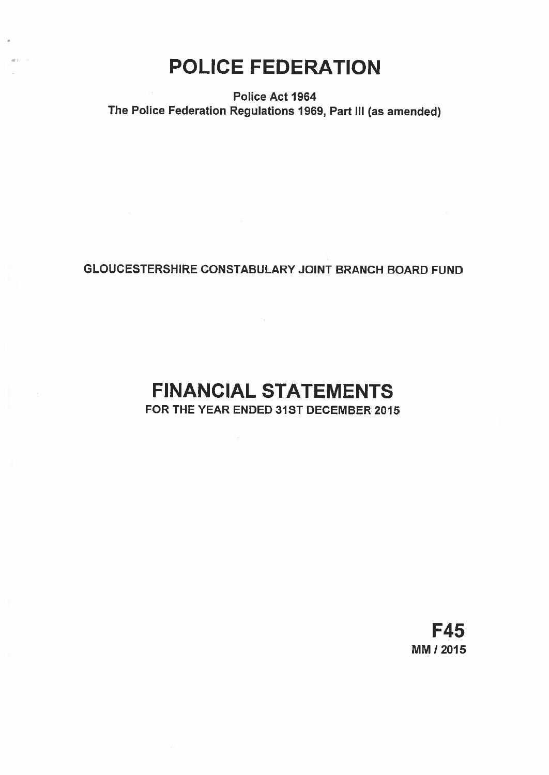# POLICE FEDERATION

anti-

## Police Act 1964 The Police Federation Regulations 1969, Part lii (as amended)

## GLOUCESTERSHIRE CONSTABULARY JOINT BRANCH BOARD FUND

## FINANCIAL STATEMENTS FOR THE YEAR ENDED 31ST DECEMBER 2015

 $\sim 1$ 

F45 MM! 2015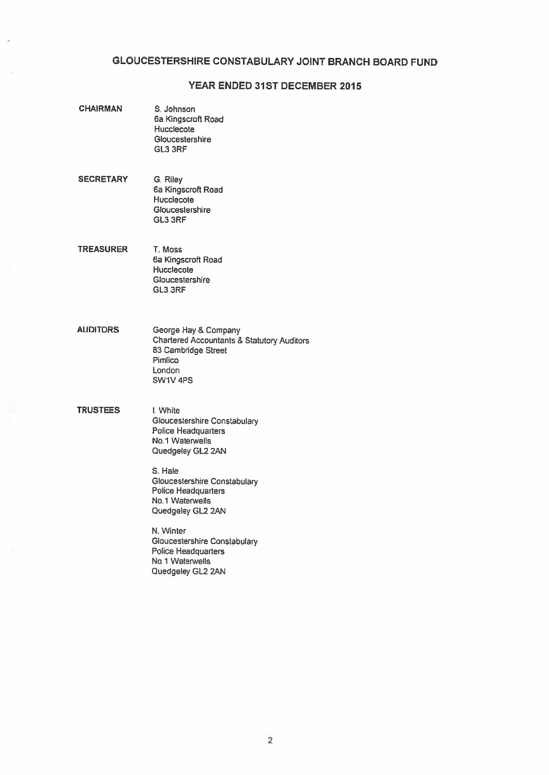#### GLOUCESTERSHIRE CONSTABULARY JOINT BRANCH BOARD FUND

#### YEAR ENDED 31ST DECEMBER 2015

- CHAIRMAN S. Johnson 6a Kingscroft Road Hucclecote Gloucestershire GL3 3RF
- SECRETARY G. Riley 6a Kingscroft Road **Hucclecote** Gloucestershire GL3 3RF
- TREASURER T. Moss 6a Kingscroft Road **Hucclecote** Gloucestershire GL3 3RF
- AUDITORS George Hay & Company Chartered Accountants & Statutory Auditors 83 Cambridge Street Pimlico London SW1V 4P5
- TRUSTEES **I**: White Gloucestershire Constabulary Police Headquarters No.1 Waterwells Quedgeley GL2 2AN

S. Hale Gloucestershire Constabulary Police Headquarters No.1 Waterwells Quedgeley GL2 2AN

N. Winter Gloucestershire Constabulary Police Headquarters No.1 Waterwells Quedgeley GL2 2AN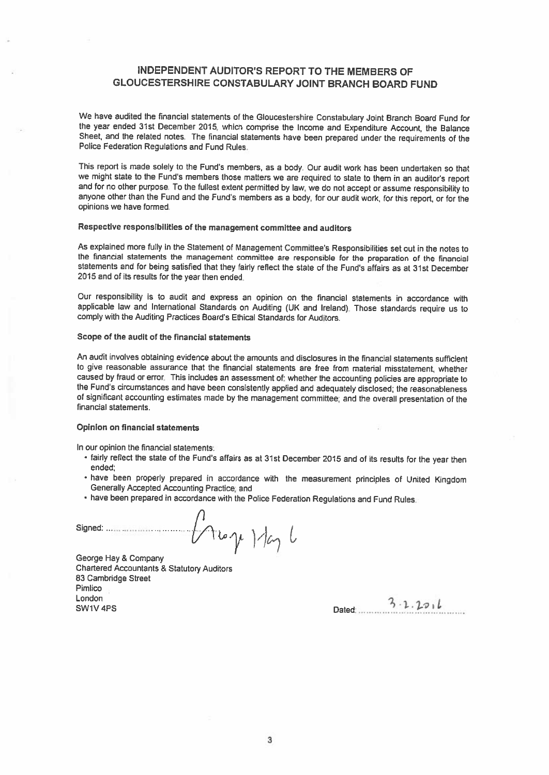### INDEPENDENT AUDITOR'S REPORT TO THE MEMBERS OF GLOUCESTERSHIRE CONSTABULARY JOINT BRANCH BOARD FUND

We have audited the financial statements of the Gloucestershire Constabulary Joint Branch Board Fund for the year ended 31st December 2015, which comprise the Income and Expenditure Account, the Balance Sheet, and the related notes. The financial statements have been prepared under the requirements of the Police Federation Regulations and Fund Rules.

This report is made solely to the Fund's members, as a body. Our audit work has been undertaken so that we might state to the Fund's members those matters we are required to state to them in an auditor's report and for no other purpose. To the fullest extent permitted by law, we do not accept or assume responsibility to anyone other than the Fund and the Fund's members as a body, for our audit work, for this report, or for the opinions we have formed.

#### Respective responsibilities of the management committee and auditors

As explained more fully in the Statement of Management Committee's Responsibilities set out in the notes to the financial statements the management committee are responsible for the preparation of the financial statements and for being satisfied that they fairly reflect the state of the Fund's affairs as at 31st December 2015 and of its results for the year then ended.

Our responsibility is to audit and express an opinion on the financial statements in accordance with applicable law and International Standards on Auditing (UK and Ireland) Those standards require us to comply with the Auditing Practices Board's Ethical Standards for Auditors.

#### Scope of the audit of the financial statements

An audit involves obtaining evidence about the amounts and disclosures in the financial statements sufficient to <sup>g</sup>ive reasonable assurance that the financial statements are free from material misstatement, whether caused by fraud or error. This includes an assessment of: whether the accounting policies are appropriate to the Fund's circumstances and have been consistently applied and adequately disclosed; the reasonableness of signiflcant accounting estimates made by the management committee; and the overall presentation of the financial statements.

#### Opinion on financial statements

In our opinion the financial statements:

- fairly reflect the state of the Fund's affairs as at 31st December <sup>2015</sup> and of its results for the year then ended;
- have been property prepared in accordance with the measurement principles of United Kingdom Generally Accepted Accounting Practice; and
- have been prepared in accordance with the Police Federation Regulations and Fund Rules.

Signed

 $t$  to  $\gamma$  ) day  $t$ 

George Hay & Company Chartered Accountants & Statutory Auditors 83 Cambridge Street Pimlico London  $\frac{3 \cdot 1.2 \cdot 16}{5 \cdot 1.2 \cdot 16}$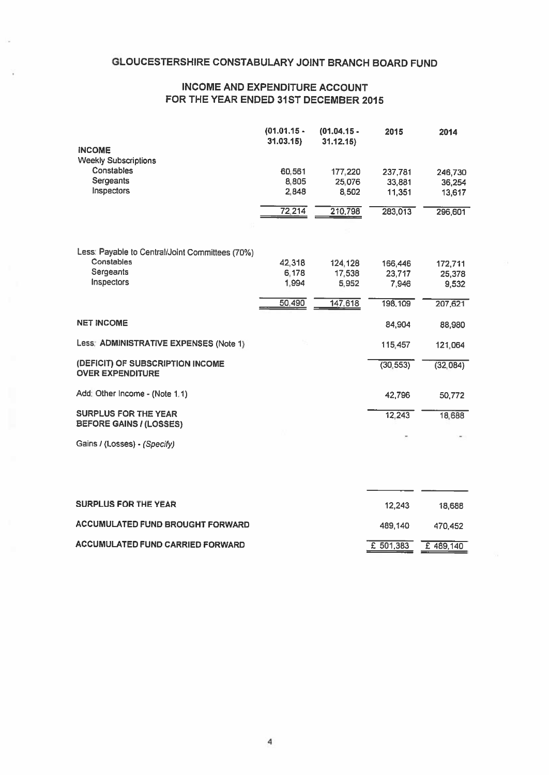#### INCOME AND EXPENDITURE ACCOUNT FOR THE YEAR ENDED 31ST DECEMBER 2015

|                                                               | $(01.01.15 -$<br>31.03.15 | $(01.04.15 -$<br>31.12.15) | 2015      | 2014     |
|---------------------------------------------------------------|---------------------------|----------------------------|-----------|----------|
| <b>INCOME</b>                                                 |                           |                            |           |          |
| <b>Weekly Subscriptions</b>                                   |                           |                            |           |          |
| Constables                                                    | 60.561                    | 177,220                    | 237,781   | 246,730  |
| Sergeants                                                     | 8,805                     | 25,076                     | 33,881    | 36,254   |
| Inspectors                                                    | 2,848                     | 8,502                      | 11,351    | 13,617   |
|                                                               | 72,214                    | 210,798                    | 283,013   | 296,601  |
|                                                               |                           |                            |           |          |
|                                                               |                           |                            |           |          |
| Less: Payable to Central/Joint Committees (70%)               |                           |                            |           |          |
| Constables                                                    | 42,318                    | 124,128                    | 166,446   | 172,711  |
| Sergeants                                                     | 6,178                     | 17,538                     | 23.717    | 25,378   |
| <b>Inspectors</b>                                             | 1.994                     | 5.952                      | 7.946     | 9,532    |
|                                                               | 50,490                    | 147,618                    | 198,109   | 207,621  |
| <b>NET INCOME</b>                                             |                           |                            | 84.904    | 88,980   |
|                                                               |                           |                            |           |          |
| Less: ADMINISTRATIVE EXPENSES (Note 1)                        |                           |                            | 115,457   | 121,064  |
| (DEFICIT) OF SUBSCRIPTION INCOME<br><b>OVER EXPENDITURE</b>   |                           |                            | (30, 553) | (32,084) |
| Add: Other Income - (Note 1.1)                                |                           |                            | 42,796    | 50,772   |
| <b>SURPLUS FOR THE YEAR</b><br><b>BEFORE GAINS / (LOSSES)</b> |                           |                            | 12,243    | 18,688   |
| Gains / (Losses) - (Specify)                                  |                           |                            |           |          |

| <b>SURPLUS FOR THE YEAR</b>       | 12.243              | 18.688  |
|-----------------------------------|---------------------|---------|
| ACCUMULATED FUND BROUGHT FORWARD. | 489.140             | 470.452 |
| ACCUMULATED FUND CARRIED FORWARD. | £ 501,383 £ 489,140 |         |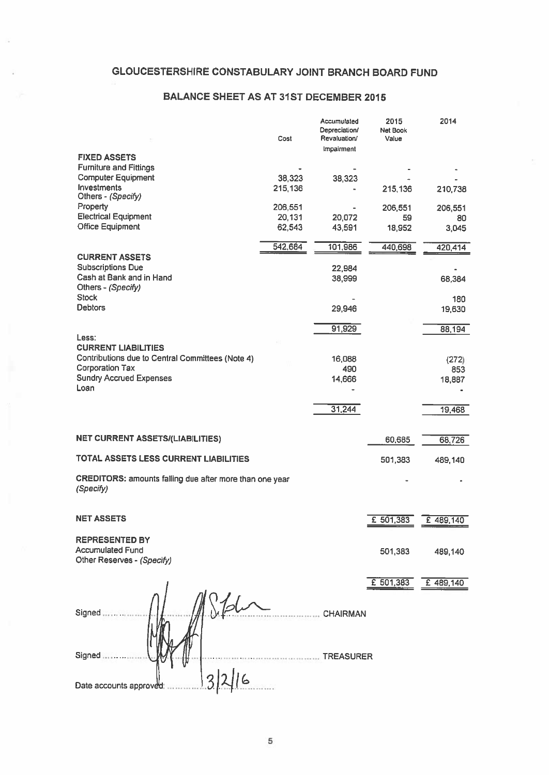## GLOUCESTERSHIRE CONSTABULARY JOINT BRANCH BOARD FUND

#### BALANCE SHEET AS AT 31ST DECEMBER 2015

|                                                                      | Cost             | Accumulated<br>Depreciation/<br>Revaluation/ | 2015<br>Net Book<br>Value | 2014      |
|----------------------------------------------------------------------|------------------|----------------------------------------------|---------------------------|-----------|
| <b>FIXED ASSETS</b>                                                  |                  | Impairment                                   |                           |           |
| <b>Furniture and Fittings</b>                                        |                  |                                              |                           |           |
| <b>Computer Equipment</b>                                            | 38,323           | 38,323                                       |                           |           |
| Investments                                                          | 215,136          |                                              | 215,136                   | 210,738   |
| Others - (Specify)                                                   |                  |                                              |                           |           |
| Property                                                             | 206,551          |                                              | 206,551                   | 206,551   |
| <b>Electrical Equipment</b><br><b>Office Equipment</b>               | 20,131<br>62,543 | 20,072                                       | 59                        | 80        |
|                                                                      |                  | 43,591                                       | 18,952                    | 3,045     |
|                                                                      | 542,684          | 101,986                                      | 440,698                   | 420,414   |
| <b>CURRENT ASSETS</b>                                                |                  |                                              |                           |           |
| <b>Subscriptions Due</b>                                             |                  | 22,984                                       |                           |           |
| Cash at Bank and in Hand                                             |                  | 38,999                                       |                           | 68,384    |
| Others - (Specify)                                                   |                  |                                              |                           |           |
| <b>Stock</b>                                                         |                  |                                              |                           | 180       |
| <b>Debtors</b>                                                       |                  | 29,946                                       |                           | 19,630    |
|                                                                      |                  | 91,929                                       |                           | 88,194    |
| Less:                                                                |                  |                                              |                           |           |
| <b>CURRENT LIABILITIES</b>                                           |                  |                                              |                           |           |
| Contributions due to Central Committees (Note 4)                     |                  | 16,088                                       |                           | (272)     |
| <b>Corporation Tax</b>                                               |                  | 490                                          |                           | 853       |
| <b>Sundry Accrued Expenses</b><br>Loan                               |                  | 14,666                                       |                           | 18,887    |
|                                                                      |                  |                                              |                           |           |
|                                                                      |                  | 31,244                                       |                           | 19,468    |
|                                                                      |                  |                                              |                           |           |
| <b>NET CURRENT ASSETS/(LIABILITIES)</b>                              |                  |                                              | 60,685                    |           |
|                                                                      |                  |                                              |                           | 68,726    |
| TOTAL ASSETS LESS CURRENT LIABILITIES                                |                  |                                              | 501,383                   | 489,140   |
| CREDITORS: amounts falling due after more than one year<br>(Specify) |                  |                                              |                           |           |
|                                                                      |                  |                                              |                           |           |
|                                                                      |                  |                                              |                           |           |
| <b>NET ASSETS</b>                                                    |                  |                                              | £ 501,383                 | £ 489,140 |
| <b>REPRESENTED BY</b>                                                |                  |                                              |                           |           |
| <b>Accumulated Fund</b>                                              |                  |                                              |                           |           |
| Other Reserves - (Specify)                                           |                  |                                              | 501,383                   | 489,140   |
|                                                                      |                  |                                              |                           |           |
|                                                                      |                  |                                              | £ 501,383                 | £ 489,140 |
|                                                                      |                  |                                              |                           |           |
|                                                                      |                  |                                              |                           |           |
| Signed                                                               |                  | <b>CHAIRMAN</b>                              |                           |           |
|                                                                      |                  |                                              |                           |           |
|                                                                      |                  |                                              |                           |           |
|                                                                      |                  |                                              |                           |           |
| Signed                                                               |                  | <b>TREASURER</b>                             |                           |           |
|                                                                      |                  |                                              |                           |           |
| Date accounts approved                                               |                  |                                              |                           |           |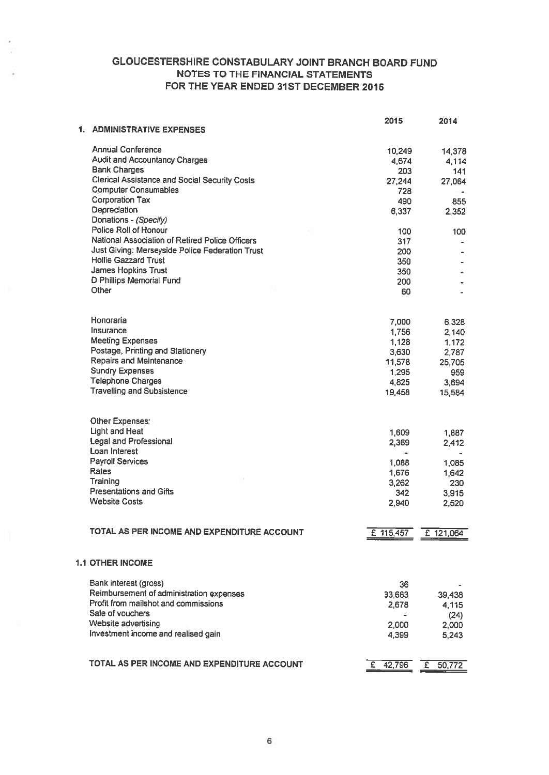## GLOUCESTERSHIRE CONSTABULARY JOINT BRANCH BOARD FUND NOTES TO THE FINANCIAL STATEMENTS FOR THE YEAR ENDED 31ST DECEMBER 2015

| 1. | <b>ADMINISTRATIVE EXPENSES</b>                                                 | 2015            | 2014          |
|----|--------------------------------------------------------------------------------|-----------------|---------------|
|    |                                                                                |                 |               |
|    | Annual Conference                                                              | 10,249          | 14,378        |
|    | <b>Audit and Accountancy Charges</b>                                           | 4,674           | 4,114         |
|    | <b>Bank Charges</b>                                                            | 203             | 141           |
|    | <b>Clerical Assistance and Social Security Costs</b>                           | 27,244          | 27,064        |
|    | <b>Computer Consumables</b>                                                    | 728             |               |
|    | <b>Corporation Tax</b>                                                         | 490             | 855           |
|    | Depreciation                                                                   | 6,337           | 2,352         |
|    | Donations - (Specify)                                                          |                 |               |
|    | Police Roll of Honour                                                          | 100             | 100           |
|    | National Association of Retired Police Officers                                | 317             |               |
|    | Just Giving: Merseyside Police Federation Trust<br><b>Hollie Gazzard Trust</b> | 200             |               |
|    | James Hopkins Trust                                                            | 350             |               |
|    | <b>D Phillips Memorial Fund</b>                                                | 350             |               |
|    | Other                                                                          | 200             |               |
|    |                                                                                | 60              |               |
|    | Honoraria                                                                      |                 |               |
|    | Insurance                                                                      | 7,000           | 6,328         |
|    | <b>Meeting Expenses</b>                                                        | 1,756           | 2,140         |
|    | Postage, Printing and Stationery                                               | 1,128           | 1,172         |
|    | <b>Repairs and Maintenance</b>                                                 | 3,630           | 2,787         |
|    | <b>Sundry Expenses</b>                                                         | 11,578<br>1,295 | 25,705<br>959 |
|    | <b>Telephone Charges</b>                                                       | 4,825           | 3,694         |
|    | <b>Travelling and Subsistence</b>                                              | 19,458          | 15,584        |
|    |                                                                                |                 |               |
|    | Other Expenses:                                                                |                 |               |
|    | <b>Light and Heat</b>                                                          | 1,609           | 1,887         |
|    | <b>Legal and Professional</b>                                                  | 2,369           | 2,412         |
|    | Loan Interest                                                                  |                 |               |
|    | <b>Payroll Services</b>                                                        | 1,088           | 1,085         |
|    | Rates                                                                          | 1,676           | 1,642         |
|    | Training                                                                       | 3,262           | 230           |
|    | <b>Presentations and Gifts</b>                                                 | 342             | 3,915         |
|    | <b>Website Costs</b>                                                           | 2,940           | 2,520         |
|    |                                                                                |                 |               |
|    | TOTAL AS PER INCOME AND EXPENDITURE ACCOUNT                                    | £ 115,457       | £ 121,064     |
|    | <b>1.1 OTHER INCOME</b>                                                        |                 |               |
|    | Bank interest (gross)                                                          | 36              |               |
|    | Reimbursement of administration expenses                                       | 33,683          | 39,438        |
|    | Profit from mailshot and commissions                                           | 2,678           | 4,115         |
|    | Sale of vouchers                                                               |                 | (24)          |
|    | Website advertising                                                            | 2,000           | 2,000         |
|    | Investment income and realised gain                                            | 4,399           | 5,243         |
|    |                                                                                |                 |               |
|    | TOTAL AS PER INCOME AND EXPENDITURE ACCOUNT                                    | $£$ 42,796      | £ $50,772$    |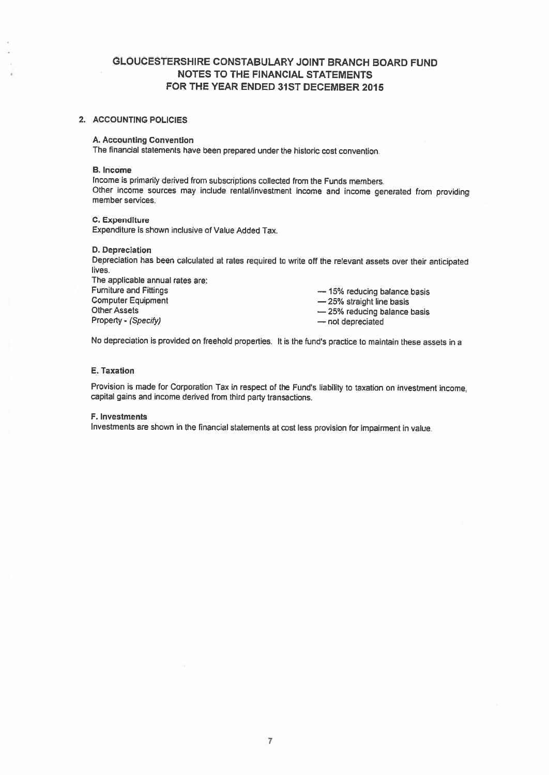#### GLOUCESTERSHIRE CONSTABULARY JOINT BRANCH BOARD FUND NOTES TO THE FINANCIAL STATEMENTS FOR THE YEAR ENDED 31ST DECEMBER 2015

#### 2. ACCOUNTING POLICIES

#### A. Accounting Convention

The financial statements have been prepared under the historic cost convention

#### B. Income

Income is primarily derived from subscriptions collected from the Funds members Other income sources may include rental/investment income and income generated from providing member services.

#### C. Expenditure

Expenditure is shown inclusive of Value Added Tax.

#### 0. Depreciation

Depreciation has been calculated at rates required to write off the relevant assets over their anticipated lives.

The applicable annual rates are: Furniture and Fittings<br>
Computer Equipment<br>
Computer Equipment<br>  $\begin{array}{r} -15\% \text{ straight line basis} \\ -25\% \text{ straight line basis} \end{array}$ Other Assets Property - (Specify) example and the most depreciated with the not depreciated

- 25% straight line basis — 25% reducing balance basis

No depreciation is provided on freehold properties. It is the fund's practice to maintain these assets in <sup>a</sup>

#### E. Taxation

Provision is made for Corporation Tax in respect of the Fund's liability to taxation on investment income, capital gains and income derived from third party transactions.

#### F. Investments

Investments are shown in the financial statements at cost less provision for impairment in value.